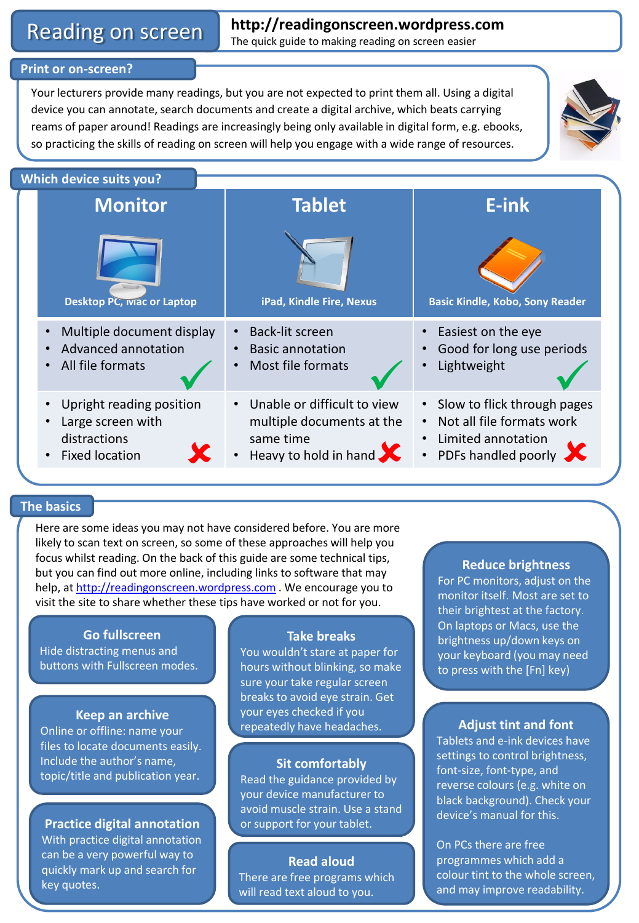# **Reading on screen http://readingonscreen.wordpress.com**<br>The quick guide to making reading on screen easier

# **Print or on-screen?**

Your lecturers provide many readings, but you are not expected to print them all. Using a digital device you can annotate, search documents and create a digital archive, which beats carrying reams of paper around! Readings are increasingly being only available in digital form, e.g. ebooks, so practicing the skills of reading on screen will help you engage with a wide range of resources.





# **The basics**

Here are some ideas you may not have considered before. You are more likely to scan text on screen, so some of these approaches will help you focus whilst reading. On the back of this guide are some technical tips, but you can find out more online, including links to software that may help, at [http://readingonscreen.wordpress.com](http://readingonscreen.wordpress.com/). We encourage you to visit the site to share whether these tips have worked or not for you.

## **Go fullscreen**

Hide distracting menus and buttons with Fullscreen modes.

## **Keep an archive**

Online or offline: name your files to locate documents easily. Include the author's name, topic/title and publication year.

**Practice digital annotation** With practice digital annotation can be a very powerful way to quickly mark up and search for key quotes.

# **Take breaks**

You wouldn't stare at paper for hours without blinking, so make sure your take regular screen breaks to avoid eye strain. Get your eyes checked if you repeatedly have headaches. **Adjust tint and font**

# **Sit comfortably**

Read the guidance provided by your device manufacturer to avoid muscle strain. Use a stand or support for your tablet.

# **Read aloud** There are free programs which will read text aloud to you.

#### **Reduce brightness**

For PC monitors, adjust on the monitor itself. Most are set to their brightest at the factory. On laptops or Macs, use the brightness up/down keys on your keyboard (you may need to press with the [Fn] key)

Tablets and e-ink devices have settings to control brightness, font-size, font-type, and reverse colours (e.g. white on black background). Check your device's manual for this.

On PCs there are free programmes which add a colour tint to the whole screen, and may improve readability.